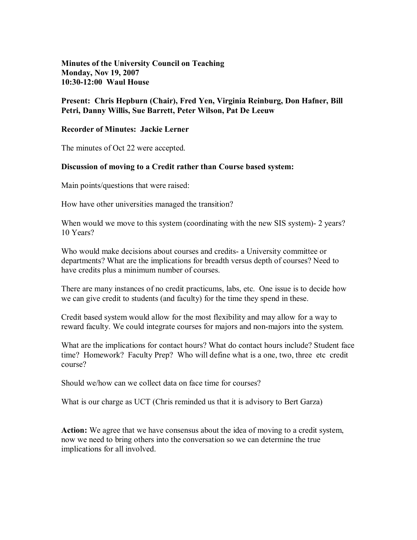**Minutes of the University Council on Teaching Monday, Nov 19, 2007 10:3012:00 Waul House** 

## **Present: Chris Hepburn (Chair), Fred Yen, Virginia Reinburg, Don Hafner, Bill Petri, Danny Willis, Sue Barrett, Peter Wilson, Pat De Leeuw**

## **Recorder of Minutes: Jackie Lerner**

The minutes of Oct 22 were accepted.

## **Discussion of moving to a Credit rather than Course based system:**

Main points/questions that were raised:

How have other universities managed the transition?

When would we move to this system (coordinating with the new SIS system) - 2 years? 10 Years?

Who would make decisions about courses and credits- a University committee or departments? What are the implications for breadth versus depth of courses? Need to have credits plus a minimum number of courses.

There are many instances of no credit practicums, labs, etc. One issue is to decide how we can give credit to students (and faculty) for the time they spend in these.

Credit based system would allow for the most flexibility and may allow for a way to reward faculty. We could integrate courses for majors and non-majors into the system.

What are the implications for contact hours? What do contact hours include? Student face time? Homework? Faculty Prep? Who will define what is a one, two, three etc credit course?

Should we/how can we collect data on face time for courses?

What is our charge as UCT (Chris reminded us that it is advisory to Bert Garza)

**Action:** We agree that we have consensus about the idea of moving to a credit system, now we need to bring others into the conversation so we can determine the true implications for all involved.